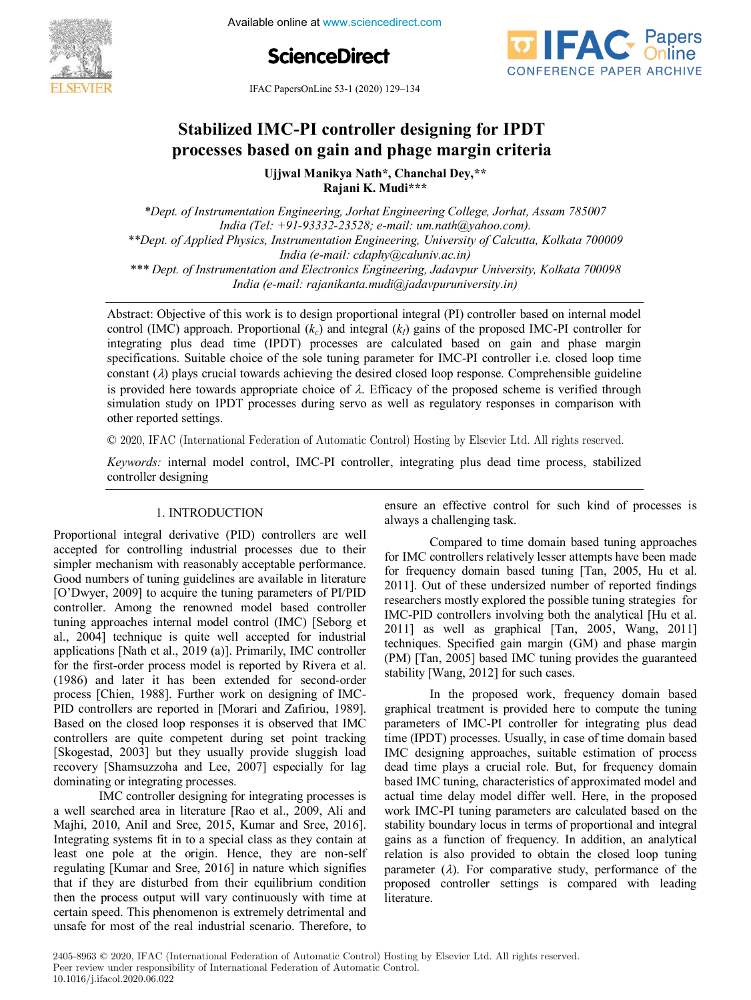

Available online at www.sciencedirect.com





IFAC PapersOnLine 53-1 (2020) 129–134

# **Stabilized IMC-PI controller designing for IPDT processes based on gain and phage margin criteria**

**Ujjwal Manikya Nath\*, Chanchal Dey,\*\* Rajani K. Mudi\*\*\*** 

*\*Dept. of Instrumentation Engineering, Jorhat Engineering College, Jorhat, Assam 785007 India (Tel: +91-93332-23528; e-mail: um.nath@yahoo.com). \*\*Dept. of Applied Physics, Instrumentation Engineering, University of Calcutta, Kolkata 700009 India (e-mail: cdaphy@caluniv.ac.in) \*\*\* Dept. of Instrumentation and Electronics Engineering, Jadavpur University, Kolkata 700098 India (e-mail: rajanikanta.mudi@jadavpuruniversity.in)* 

is provided here towards appropriate choice of  $\lambda$ . Efficacy of the proposed scheme is verified through simulation study on IPDT processes during servo as well as regulatory responses in comparison with Abstract: Objective of this work is to design proportional integral (PI) controller based on internal model control (IMC) approach. Proportional  $(k<sub>c</sub>)$  and integral  $(k<sub>i</sub>)$  gains of the proposed IMC-PI controller for integrating plus dead time (IPDT) processes are calculated based on gain and phase margin specifications. Suitable choice of the sole tuning parameter for IMC-PI controller i.e. closed loop time constant  $(\lambda)$  plays crucial towards achieving the desired closed loop response. Comprehensible guideline other reported settings.

© 2020, IFAC (International Federation of Automatic Control) Hosting by Elsevier Ltd. All rights reserved.

*Keywords:* internal model control, IMC-PI controller, integrating plus dead time process, stabilized controller designing

### 1. INTRODUCTION

Proportional integral derivative (PID) controllers are well accepted for controlling industrial processes due to their simpler mechanism with reasonably acceptable performance. Good numbers of tuning guidelines are available in literature [O'Dwyer, 2009] to acquire the tuning parameters of PI/PID O'Dwyer, 2009 O'Dwyer, 2009 controller. Among the renowned model based controller tuning approaches internal model control (IMC) [Seborg et al., 2004] technique is quite well accepted for industrial applications [Nath et al., 2019 (a)]. Primarily, IMC controller for the first-order process model is reported by Rivera et al. (1986) and later it has been extended for second-order process [Chien, 1988]. Further work on designing of IMC-PID controllers are reported in [Morari and Zafiriou, 1989]. Based on the closed loop responses it is observed that IMC controllers are quite competent during set point tracking [Skogestad, 2003] but they usually provide sluggish load recovery [Shamsuzzoha and Lee, 2007] especially for lag dominating or integrating processes.

IMC controller designing for integrating processes is a well searched area in literature [Rao et al., 2009, Ali and Majhi, 2010, Anil and Sree, 2015, Kumar and Sree, 2016]. Integrating systems fit in to a special class as they contain at least one pole at the origin. Hence, they are non-self regulating [Kumar and Sree, 2016] in nature which signifies that if they are disturbed from their equilibrium condition then the process output will vary continuously with time at certain speed. This phenomenon is extremely detrimental and unsafe for most of the real industrial scenario. Therefore, to

ensure an effective control for such kind of processes is always a challenging task.

Compared to time domain based tuning approaches for IMC controllers relatively lesser attempts have been made for frequency domain based tuning [Tan, 2005, Hu et al. 2011]. Out of these undersized number of reported findings researchers mostly explored the possible tuning strategies for IMC-PID controllers involving both the analytical [Hu et al. 2011] as well as graphical [Tan, 2005, Wang, 2011] techniques. Specified gain margin (GM) and phase margin (PM) [Tan, 2005] based IMC tuning provides the guaranteed stability [Wang, 2012] for such cases.

In the proposed work, frequency domain based graphical treatment is provided here to compute the tuning parameters of IMC-PI controller for integrating plus dead time (IPDT) processes. Usually, in case of time domain based IMC designing approaches, suitable estimation of process dead time plays a crucial role. But, for frequency domain based IMC tuning, characteristics of approximated model and actual time delay model differ well. Here, in the proposed work IMC-PI tuning parameters are calculated based on the stability boundary locus in terms of proportional and integral gains as a function of frequency. In addition, an analytical relation is also provided to obtain the closed loop tuning parameter  $(\lambda)$ . For comparative study, performance of the proposed controller settings is compared with leading literature.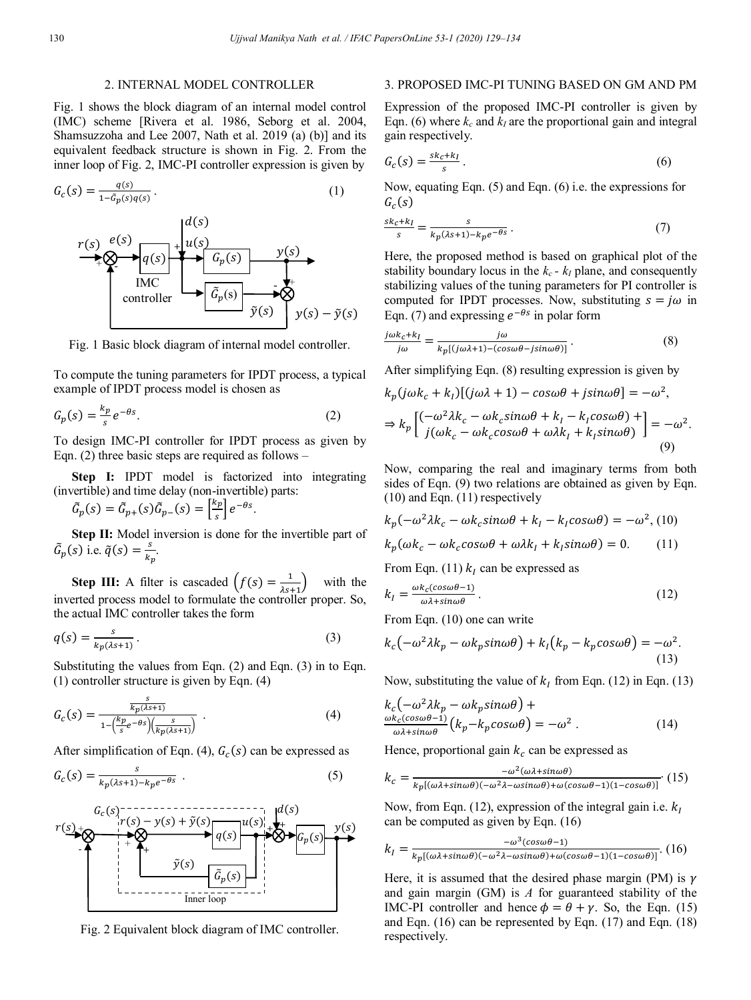## 2. INTERNAL MODEL CONTROLLER

Fig. 1 shows the block diagram of an internal model control (IMC) scheme [Rivera et al. 1986, Seborg et al. 2004, Shamsuzzoha and Lee 2007, Nath et al. 2019 (a) (b)] and its equivalent feedback structure is shown in Fig. 2. From the inner loop of Fig. 2, IMC-PI controller expression is given by

$$
G_c(s) = \frac{q(s)}{1 - \tilde{G}_p(s)q(s)}.
$$
\n<sup>(1)</sup>



Fig. 1 Basic block diagram of internal model controller.

To compute the tuning parameters for IPDT process, a typical example of IPDT process model is chosen as

$$
G_p(s) = \frac{k_p}{s} e^{-\theta s}.
$$
 (2)

To design IMC-PI controller for IPDT process as given by Eqn. (2) three basic steps are required as follows –

**Step I:** IPDT model is factorized into integrating (invertible) and time delay (non-invertible) parts:

 $G_p(s) = G_{p+}(s)G_p$  $\boldsymbol{k}$  $\left[\frac{ep}{s}\right]e^{-\theta s}$ .

**Step II:** Model inversion is done for the invertible part of  $\tilde{G}_p(s)$  i.e.  $\tilde{q}(s) = \frac{s}{k}$  $\frac{3}{k_p}$ .

**Step III:** A filter is cascaded  $(f(s) = \frac{1}{\lambda s + 1})$  with the inverted process model to formulate the controller proper. So, the actual IMC controller takes the form

$$
q(s) = \frac{s}{k_p(\lambda s + 1)}.
$$
\n(3)

Substituting the values from Eqn. (2) and Eqn. (3) in to Eqn. (1) controller structure is given by Eqn. (4)

$$
G_c(s) = \frac{\frac{s}{k_p(s+1)}}{1 - \left(\frac{k_p}{s}e^{-\theta s}\right)\left(\frac{s}{k_p(s+1)}\right)}\ .
$$
 (4)

After simplification of Eqn. (4),  $G_c(s)$  can be expressed as

$$
G_c(s) = \frac{s}{k_p(s+1) - k_p e^{-\theta s}} \tag{5}
$$



Fig. 2 Equivalent block diagram of IMC controller.

## 3. PROPOSED IMC-PI TUNING BASED ON GM AND PM

Expression of the proposed IMC-PI controller is given by Eqn. (6) where  $k_c$  and  $k_I$  are the proportional gain and integral gain respectively.

$$
G_c(s) = \frac{s k_c + k_l}{s} \,. \tag{6}
$$

Now, equating Eqn. (5) and Eqn. (6) i.e. the expressions for  $G_c($ 

$$
\frac{sk_c + k_I}{s} = \frac{s}{k_p(ks+1) - k_p e^{-\theta s}}.
$$
\n<sup>(7)</sup>

Here, the proposed method is based on graphical plot of the stability boundary locus in the  $k_c$  -  $k_l$  plane, and consequently stabilizing values of the tuning parameters for PI controller is computed for IPDT processes. Now, substituting  $s = j\omega$  in Eqn. (7) and expressing  $e^{-\theta s}$  in polar form

$$
\frac{j\omega k_c + k_I}{j\omega} = \frac{j\omega}{k_p[(j\omega\lambda + 1) - (cos\omega\theta - jsin\omega\theta)]}.
$$
 (8)

After simplifying Eqn. (8) resulting expression is given by

$$
k_p(j\omega k_c + k_I)[(j\omega \lambda + 1) - cos\omega\theta + j sin\omega\theta] = -\omega^2,
$$
  
\n
$$
\Rightarrow k_p \left[ \frac{(-\omega^2 \lambda k_c - \omega k_c sin\omega\theta + k_I - k_I cos\omega\theta) +}{j(\omega k_c - \omega k_c cos\omega\theta + \omega\lambda k_I + k_I sin\omega\theta)} \right] = -\omega^2.
$$
\n(9)

Now, comparing the real and imaginary terms from both sides of Eqn. (9) two relations are obtained as given by Eqn. (10) and Eqn. (11) respectively

$$
k_p(-\omega^2 \lambda k_c - \omega k_c \sin \omega \theta + k_l - k_l \cos \omega \theta) = -\omega^2, (10)
$$
  

$$
k_p(\omega k_c - \omega k_c \cos \omega \theta + \omega \lambda k_l + k_l \sin \omega \theta) = 0.
$$
 (11)

From Eqn. (11)  $k_l$  can be expressed as

$$
k_I = \frac{\omega k_c (\cos \omega \theta - 1)}{\omega \lambda + \sin \omega \theta} \,. \tag{12}
$$

From Eqn. (10) one can write

$$
k_c(-\omega^2 \lambda k_p - \omega k_p \sin \omega \theta) + k_l(k_p - k_p \cos \omega \theta) = -\omega^2.
$$
\n(13)

Now, substituting the value of  $k_l$  from Eqn. (12) in Eqn. (13)

$$
k_c(-\omega^2 \lambda k_p - \omega k_p \sin \omega \theta) +
$$
  

$$
\frac{\omega k_c(\cos \omega \theta - 1)}{\omega \lambda + \sin \omega \theta} (k_p - k_p \cos \omega \theta) = -\omega^2.
$$
 (14)

Hence, proportional gain  $k_c$  can be expressed as

$$
k_c = \frac{-\omega^2(\omega \lambda + \sin \omega \theta)}{k_p[(\omega \lambda + \sin \omega \theta)(-\omega^2 \lambda - \omega \sin \omega \theta) + \omega(\cos \omega \theta - 1)(1 - \cos \omega \theta)]}.
$$
 (15)

Now, from Eqn. (12), expression of the integral gain i.e.  $k_I$ can be computed as given by Eqn. (16)

$$
k_I = \frac{-\omega^3(\cos\omega\theta - 1)}{k_p[(\omega\lambda + \sin\omega\theta)(-\omega^2\lambda - \omega\sin\omega\theta) + \omega(c\cos\omega\theta - 1)(1 - \cos\omega\theta)]}.\tag{16}
$$

Here, it is assumed that the desired phase margin (PM) is  $\gamma$ and gain margin (GM) is *A* for guaranteed stability of the IMC-PI controller and hence  $\phi = \theta + \gamma$ . So, the Eqn. (15) and Eqn. (16) can be represented by Eqn. (17) and Eqn. (18) respectively.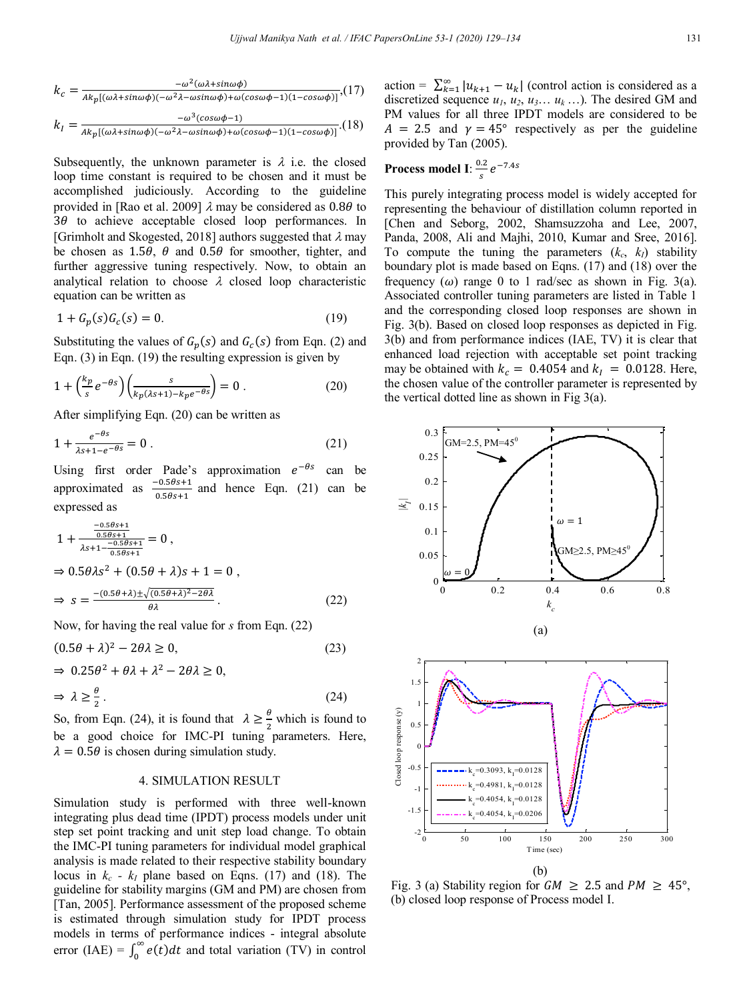$$
k_c = \frac{-\omega^2(\omega\lambda + \sin\omega\phi)}{\lambda k_p[(\omega\lambda + \sin\omega\phi)(-\omega^2\lambda - \omega\sin\omega\phi) + \omega(cos\omega\phi - 1)(1 - cos\omega\phi)]}, (17)
$$
  

$$
k_l = \frac{-\omega^3(cos\omega\phi - 1)}{\lambda k_p[(\omega\lambda + \sin\omega\phi)(-\omega^2\lambda - \omega\sin\omega\phi) + \omega(cos\omega\phi - 1)(1 - cos\omega\phi)]}.
$$

Subsequently, the unknown parameter is  $\lambda$  i.e. the closed loop time constant is required to be chosen and it must be accomplished judiciously. According to the guideline provided in [Rao et al. 2009]  $\lambda$  may be considered as 0.80 to  $3\theta$  to achieve acceptable closed loop performances. In [Grimholt and Skogested, 2018] authors suggested that  $\lambda$  may be chosen as 1.5 $\theta$ ,  $\theta$  and 0.5 $\theta$  for smoother, tighter, and further aggressive tuning respectively. Now, to obtain an analytical relation to choose  $\lambda$  closed loop characteristic equation can be written as

$$
1 + G_p(s)G_c(s) = 0.
$$
 (19)

Substituting the values of  $G_p(s)$  and  $G_c(s)$  from Eqn. (2) and Eqn. (3) in Eqn. (19) the resulting expression is given by

$$
1 + \left(\frac{k_p}{s}e^{-\theta s}\right) \left(\frac{s}{k_p(\lambda s + 1) - k_p e^{-\theta s}}\right) = 0.
$$
 (20)

After simplifying Eqn. (20) can be written as

$$
1 + \frac{e^{-\theta s}}{\lambda s + 1 - e^{-\theta s}} = 0.
$$
 (21)

Using first order Pade's approximation  $e^{-\theta s}$  can be approximated as  $\frac{-0.505+1}{0.5\theta s+1}$  and hence Eqn. (21) can be expressed as

$$
1 + \frac{\frac{-0.5\theta s + 1}{0.5\theta s + 1}}{\lambda s + 1 - \frac{-0.5\theta s + 1}{0.5\theta s + 1}} = 0,
$$
  
\n
$$
\Rightarrow 0.5\theta \lambda s^2 + (0.5\theta + \lambda)s + 1 = 0,
$$
  
\n
$$
\Rightarrow s = \frac{-(0.5\theta + \lambda) \pm \sqrt{(0.5\theta + \lambda)^2 - 2\theta\lambda}}{\theta\lambda}.
$$
 (22)

Now, for having the real value for *s* from Eqn. (22)

$$
(0.5\theta + \lambda)^2 - 2\theta\lambda \ge 0,\tag{23}
$$

$$
\Rightarrow 0.25\theta^2 + \theta\lambda + \lambda^2 - 2\theta\lambda \ge 0,
$$
  

$$
\Rightarrow \lambda \ge \frac{\theta}{2}.
$$
 (24)

So, from Eqn. (24), it is found that  $\lambda \geq \frac{b}{2}$  which is found to be a good choice for IMC-PI tuning parameters. Here,  $\lambda = 0.5\theta$  is chosen during simulation study.

## 4. SIMULATION RESULT

Simulation study is performed with three well-known integrating plus dead time (IPDT) process models under unit step set point tracking and unit step load change. To obtain the IMC-PI tuning parameters for individual model graphical analysis is made related to their respective stability boundary locus in  $k_c$  -  $k_I$  plane based on Eqns. (17) and (18). The guideline for stability margins (GM and PM) are chosen from [Tan, 2005]. Performance assessment of the proposed scheme is estimated through simulation study for IPDT process models in terms of performance indices - integral absolute error (IAE) =  $\int_0^{\infty} e(t)dt$  and total variation (TV) in control

action =  $\sum_{k=1}^{\infty} |u_{k+1} - u_k|$  (control action is considered as a discretized sequence  $u_1, u_2, u_3... u_k...$ ). The desired GM and PM values for all three IPDT models are considered to be  $A = 2.5$  and  $\gamma = 45^{\circ}$  respectively as per the guideline provided by Tan (2005).

#### **Process model I**:  $\frac{a}{s}e^{-}$

This purely integrating process model is widely accepted for representing the behaviour of distillation column reported in [Chen and Seborg, 2002, Shamsuzzoha and Lee, 2007, Panda, 2008, Ali and Majhi, 2010, Kumar and Sree, 2016]. To compute the tuning the parameters  $(k_c, k_l)$  stability boundary plot is made based on Eqns. (17) and (18) over the frequency  $(\omega)$  range 0 to 1 rad/sec as shown in Fig. 3(a). Associated controller tuning parameters are listed in Table 1 and the corresponding closed loop responses are shown in Fig. 3(b). Based on closed loop responses as depicted in Fig. 3(b) and from performance indices (IAE, TV) it is clear that enhanced load rejection with acceptable set point tracking may be obtained with  $k_c = 0.4054$  and  $k_l = 0.0128$ . Here, the chosen value of the controller parameter is represented by the vertical dotted line as shown in Fig 3(a).





(b) Fig. 3 (a) Stability region for  $GM \ge 2.5$  and  $PM \ge 45^{\circ}$ , (b) closed loop response of Process model I.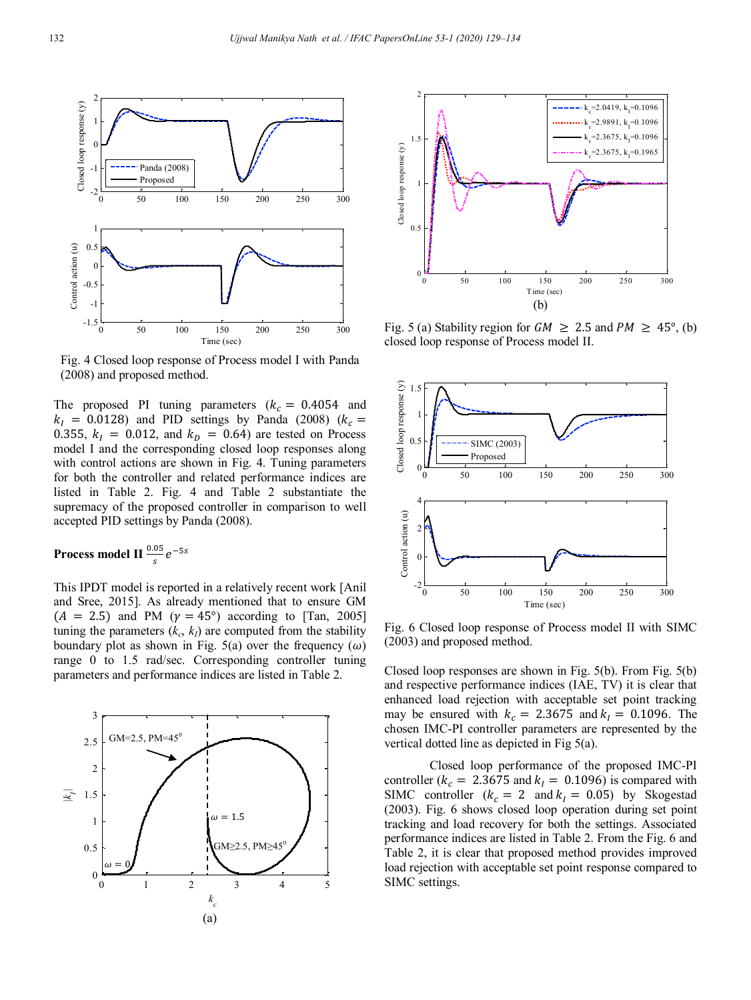

Fig. 4 Closed loop response of Process model I with Panda (2008) and proposed method.

The proposed PI tuning parameters  $(k<sub>c</sub> = 0.4054$  and  $k_I$  = 0.0128) and PID settings by Panda (2008) (k 0.355,  $k_I = 0.012$ , and  $k_D = 0.64$ ) are tested on Process model I and the corresponding closed loop responses along with control actions are shown in Fig. 4. Tuning parameters for both the controller and related performance indices are listed in Table 2. Fig. 4 and Table 2 substantiate the supremacy of the proposed controller in comparison to well accepted PID settings by Panda (2008).

# **Process model II**  $\frac{0.05}{s}e^{-t}$

This IPDT model is reported in a relatively recent work [Anil and Sree, 2015]. As already mentioned that to ensure GM  $(A = 2.5)$  and PM  $(\gamma = 45^{\circ})$  according to [Tan, 2005] tuning the parameters  $(k_c, k_l)$  are computed from the stability boundary plot as shown in Fig. 5(a) over the frequency  $(\omega)$ range 0 to 1.5 rad/sec. Corresponding controller tuning parameters and performance indices are listed in Table 2.





Fig. 5 (a) Stability region for  $GM \ge 2.5$  and  $PM \ge 45^{\circ}$ , (b) closed loop response of Process model II.



Fig. 6 Closed loop response of Process model II with SIMC (2003) and proposed method.

Closed loop responses are shown in Fig. 5(b). From Fig. 5(b) and respective performance indices (IAE, TV) it is clear that enhanced load rejection with acceptable set point tracking may be ensured with  $k_c = 2.3675$  and  $k_l = 0.1096$ . The chosen IMC-PI controller parameters are represented by the vertical dotted line as depicted in Fig 5(a).

Closed loop performance of the proposed IMC-PI controller ( $k_c = 2.3675$  and  $k_l = 0.1096$ ) is compared with SIMC controller  $(k_c = 2 \text{ and } k_l = 0.05)$  by Skogestad (2003). Fig. 6 shows closed loop operation during set point tracking and load recovery for both the settings. Associated performance indices are listed in Table 2. From the Fig. 6 and Table 2, it is clear that proposed method provides improved load rejection with acceptable set point response compared to SIMC settings.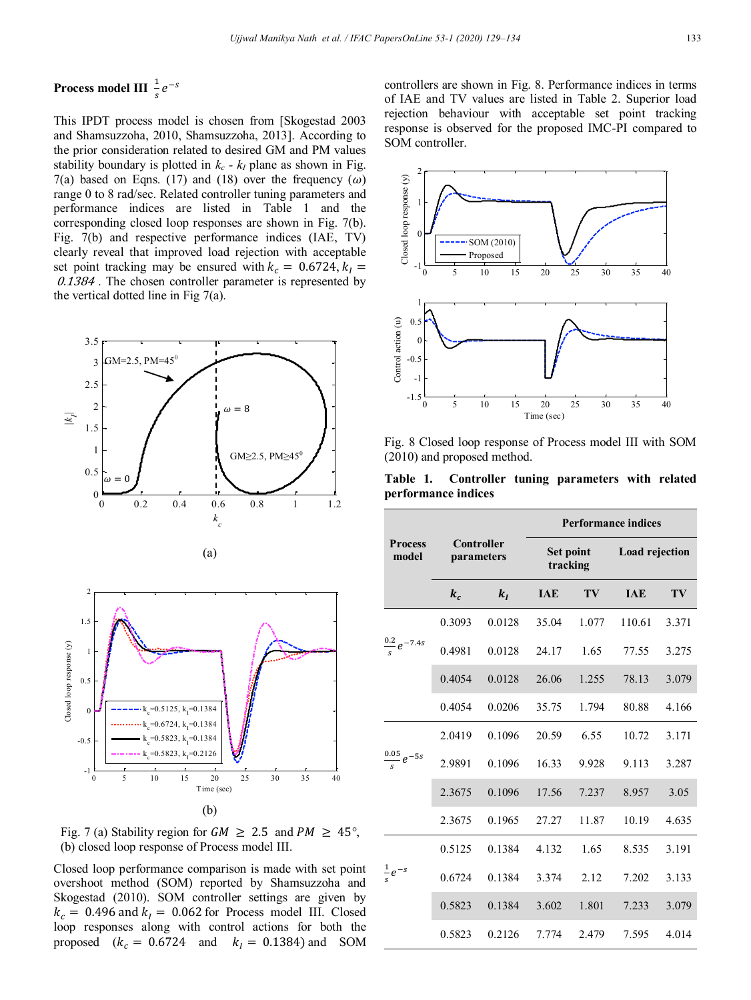# **Process model III**  $\frac{1}{s}e^{-t}$

This IPDT process model is chosen from [Skogestad 2003 and Shamsuzzoha, 2010, Shamsuzzoha, 2013]. According to the prior consideration related to desired GM and PM values stability boundary is plotted in  $k_c$  -  $k_I$  plane as shown in Fig. 7(a) based on Eqns. (17) and (18) over the frequency  $(\omega)$ range 0 to 8 rad/sec. Related controller tuning parameters and performance indices are listed in Table 1 and the corresponding closed loop responses are shown in Fig. 7(b). Fig. 7(b) and respective performance indices (IAE, TV) clearly reveal that improved load rejection with acceptable set point tracking may be ensured with  $k_c = 0.6724, k_l =$ 0.1384. The chosen controller parameter is represented by the vertical dotted line in Fig 7(a).



Fig. 7 (a) Stability region for  $GM \ge 2.5$  and  $PM \ge 45^{\circ}$ , (b) closed loop response of Process model III.

Closed loop performance comparison is made with set point overshoot method (SOM) reported by Shamsuzzoha and Skogestad (2010). SOM controller settings are given by  $k_c = 0.496$  and  $k_l = 0.062$  for Process model III. Closed loop responses along with control actions for both the proposed  $(k_c = 0.6724$  and  $k_l = 0.1384$ ) and SOM controllers are shown in Fig. 8. Performance indices in terms of IAE and TV values are listed in Table 2. Superior load rejection behaviour with acceptable set point tracking response is observed for the proposed IMC-PI compared to SOM controller.



Fig. 8 Closed loop response of Process model III with SOM (2010) and proposed method.

**Table 1. Controller tuning parameters with related performance indices**

|                          |                          |        | <b>Performance indices</b> |       |                |       |
|--------------------------|--------------------------|--------|----------------------------|-------|----------------|-------|
| <b>Process</b><br>model  | Controller<br>parameters |        | Set point<br>tracking      |       | Load rejection |       |
|                          | $k_c$                    | $k_I$  | <b>IAE</b>                 | TV    | <b>TAE</b>     | TV    |
|                          | 0.3093                   | 0.0128 | 35.04                      | 1.077 | 110.61         | 3.371 |
| $\frac{0.2}{s}e^{-7.4s}$ | 0.4981                   | 0.0128 | 24.17                      | 1.65  | 77.55          | 3.275 |
|                          | 0.4054                   | 0.0128 | 26.06                      | 1.255 | 78.13          | 3.079 |
|                          | 0.4054                   | 0.0206 | 35.75                      | 1.794 | 80.88          | 4.166 |
| $\frac{0.05}{s}e^{-5s}$  | 2.0419                   | 0.1096 | 20.59                      | 6.55  | 10.72          | 3.171 |
|                          | 2.9891                   | 0.1096 | 16.33                      | 9.928 | 9.113          | 3.287 |
|                          | 2.3675                   | 0.1096 | 17.56                      | 7.237 | 8.957          | 3.05  |
|                          | 2.3675                   | 0.1965 | 27.27                      | 11.87 | 10.19          | 4.635 |
| $\frac{1}{s}e^{-s}$      | 0.5125                   | 0.1384 | 4.132                      | 1.65  | 8.535          | 3.191 |
|                          | 0.6724                   | 0.1384 | 3.374                      | 2.12  | 7.202          | 3.133 |
|                          | 0.5823                   | 0.1384 | 3.602                      | 1.801 | 7.233          | 3.079 |
|                          | 0.5823                   | 0.2126 | 7.774                      | 2.479 | 7.595          | 4.014 |